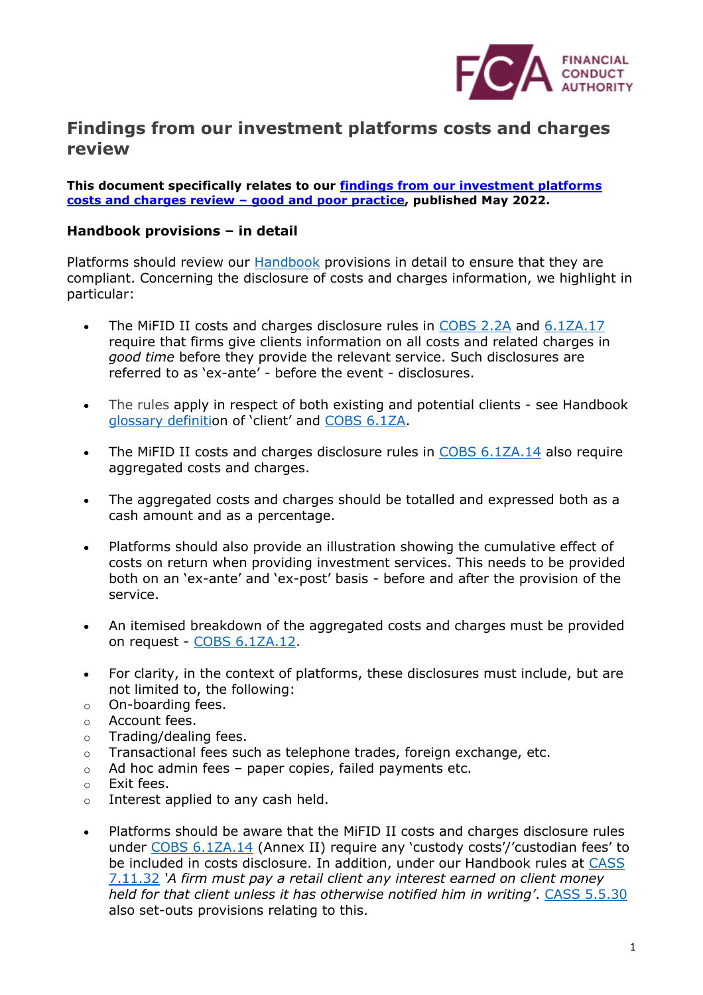

## **Findings from our investment platforms costs and charges review**

**This document specifically relates to our [findings from our investment platforms](https://www.fca.org.uk/firms/investment-platforms-consumers-investment-costs-good-poor-practice)  [costs and charges review](https://www.fca.org.uk/firms/investment-platforms-consumers-investment-costs-good-poor-practice) – good and poor practice, published May 2022.**

## **Handbook provisions – in detail**

Platforms should review our **Handbook** provisions in detail to ensure that they are compliant. Concerning the disclosure of costs and charges information, we highlight in particular:

- The MiFID II costs and charges disclosure rules in [COBS 2.2A](https://www.handbook.fca.org.uk/handbook/COBS/2/2A.html) and [6.1ZA.17](https://www.handbook.fca.org.uk/handbook/COBS/6/1ZA.html) require that firms give clients information on all costs and related charges in *good time* before they provide the relevant service. Such disclosures are referred to as 'ex-ante' - before the event - disclosures.
- The rules apply in respect of both existing and potential clients see Handbook [glossary definiti](https://www.handbook.fca.org.uk/handbook/glossary/)on of 'client' and [COBS 6.1ZA.](https://www.handbook.fca.org.uk/handbook/COBS/6/1ZA.html)
- The MiFID II costs and charges disclosure rules in [COBS 6.1ZA.14](https://www.handbook.fca.org.uk/handbook/COBS/6/1ZA.html) also require aggregated costs and charges.
- The aggregated costs and charges should be totalled and expressed both as a cash amount and as a percentage.
- Platforms should also provide an illustration showing the cumulative effect of costs on return when providing investment services. This needs to be provided both on an 'ex-ante' and 'ex-post' basis - before and after the provision of the service.
- An itemised breakdown of the aggregated costs and charges must be provided on request - [COBS 6.1ZA.12.](https://www.handbook.fca.org.uk/handbook/COBS/6/1ZA.html)
- For clarity, in the context of platforms, these disclosures must include, but are not limited to, the following:
- o On-boarding fees.
- o Account fees.
- o Trading/dealing fees.
- $\circ$  Transactional fees such as telephone trades, foreign exchange, etc.
- $\circ$  Ad hoc admin fees paper copies, failed payments etc.
- o Exit fees.
- o Interest applied to any cash held.
- Platforms should be aware that the MiFID II costs and charges disclosure rules under [COBS 6.1ZA.14](https://www.handbook.fca.org.uk/handbook/COBS/6/1ZA.html) (Annex II) require any 'custody costs'/'custodian fees' to be included in costs disclosure. In addition, under our Handbook rules at CASS [7.11.32](https://www.handbook.fca.org.uk/handbook/CASS/7/11.html) *'A firm must pay a retail client any interest earned on client money held for that client unless it has otherwise notified him in writing'*. [CASS 5.5.30](https://www.handbook.fca.org.uk/handbook/CASS/5/5.html) also set-outs provisions relating to this.